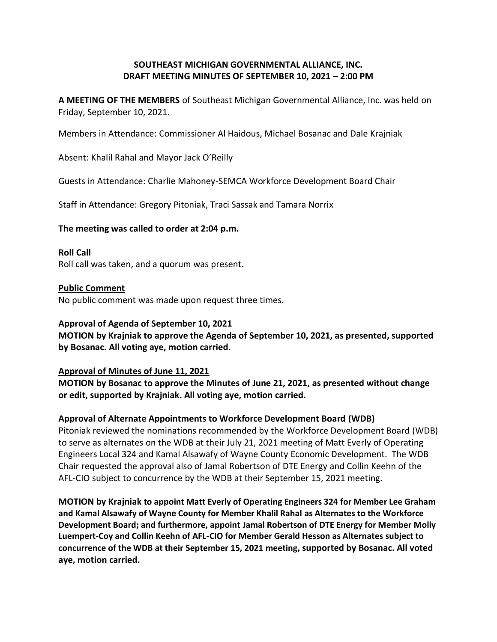# **SOUTHEAST MICHIGAN GOVERNMENTAL ALLIANCE, INC. DRAFT MEETING MINUTES OF SEPTEMBER 10, 2021 - 2:00 PM**

**A MEETING OF THE MEMBERS** of Southeast Michigan Governmental Alliance, Inc. was held on Friday, September 10, 2021.

Members in Attendance: Commissioner Al Haidous, Michael Bosanac and Dale Krajniak

Absent: Khalil Rahal and Mayor Jack O'Reilly

Guests in Attendance: Charlie Mahoney-SEMCA Workforce Development Board Chair

Staff in Attendance: Gregory Pitoniak, Traci Sassak and Tamara Norrix

## **The meeting was called to order at 2:04 p.m.**

### **Roll Call**

Roll call was taken, and a quorum was present.

## **Public Comment**

No public comment was made upon request three times.

## **Approval of Agenda of September 10, 2021**

**MOTION by Krajniak to approve the Agenda of September 10, 2021, as presented, supported by Bosanac. All voting aye, motion carried.**

### **Approval of Minutes of June 11, 2021**

**MOTION by Bosanac to approve the Minutes of June 21, 2021, as presented without change or edit, supported by Krajniak. All voting aye, motion carried.**

## **Approval of Alternate Appointments to Workforce Development Board (WDB)**

Pitoniak reviewed the nominations recommended by the Workforce Development Board (WDB) to serve as alternates on the WDB at their July 21, 2021 meeting of Matt Everly of Operating Engineers Local 324 and Kamal Alsawafy of Wayne County Economic Development. The WDB Chair requested the approval also of Jamal Robertson of DTE Energy and Collin Keehn of the AFL-CIO subject to concurrence by the WDB at their September 15, 2021 meeting.

**MOTION by Krajniak to appoint Matt Everly of Operating Engineers 324 for Member Lee Graham and Kamal Alsawafy of Wayne County for Member Khalil Rahal as Alternates to the Workforce Development Board; and furthermore, appoint Jamal Robertson of DTE Energy for Member Molly Luempert-Coy and Collin Keehn of AFL-CIO for Member Gerald Hesson as Alternates subject to concurrence of the WDB at their September 15, 2021 meeting, supported by Bosanac. All voted aye, motion carried.**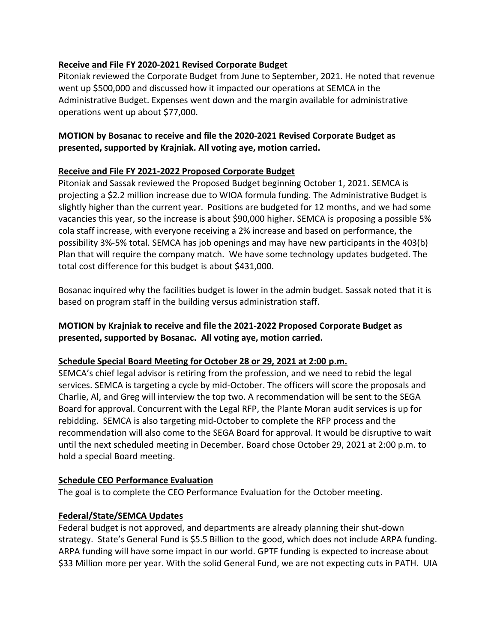# **Receive and File FY 2020-2021 Revised Corporate Budget**

Pitoniak reviewed the Corporate Budget from June to September, 2021. He noted that revenue went up \$500,000 and discussed how it impacted our operations at SEMCA in the Administrative Budget. Expenses went down and the margin available for administrative operations went up about \$77,000.

# **MOTION by Bosanac to receive and file the 2020-2021 Revised Corporate Budget as presented, supported by Krajniak. All voting aye, motion carried.**

# **Receive and File FY 2021-2022 Proposed Corporate Budget**

Pitoniak and Sassak reviewed the Proposed Budget beginning October 1, 2021. SEMCA is projecting a \$2.2 million increase due to WIOA formula funding. The Administrative Budget is slightly higher than the current year. Positions are budgeted for 12 months, and we had some vacancies this year, so the increase is about \$90,000 higher. SEMCA is proposing a possible 5% cola staff increase, with everyone receiving a 2% increase and based on performance, the possibility 3%-5% total. SEMCA has job openings and may have new participants in the 403(b) Plan that will require the company match. We have some technology updates budgeted. The total cost difference for this budget is about \$431,000.

Bosanac inquired why the facilities budget is lower in the admin budget. Sassak noted that it is based on program staff in the building versus administration staff.

# **MOTION by Krajniak to receive and file the 2021-2022 Proposed Corporate Budget as presented, supported by Bosanac. All voting aye, motion carried.**

# **Schedule Special Board Meeting for October 28 or 29, 2021 at 2:00 p.m.**

SEMCA's chief legal advisor is retiring from the profession, and we need to rebid the legal services. SEMCA is targeting a cycle by mid-October. The officers will score the proposals and Charlie, Al, and Greg will interview the top two. A recommendation will be sent to the SEGA Board for approval. Concurrent with the Legal RFP, the Plante Moran audit services is up for rebidding. SEMCA is also targeting mid-October to complete the RFP process and the recommendation will also come to the SEGA Board for approval. It would be disruptive to wait until the next scheduled meeting in December. Board chose October 29, 2021 at 2:00 p.m. to hold a special Board meeting.

# **Schedule CEO Performance Evaluation**

The goal is to complete the CEO Performance Evaluation for the October meeting.

## **Federal/State/SEMCA Updates**

Federal budget is not approved, and departments are already planning their shut-down strategy. State's General Fund is \$5.5 Billion to the good, which does not include ARPA funding. ARPA funding will have some impact in our world. GPTF funding is expected to increase about \$33 Million more per year. With the solid General Fund, we are not expecting cuts in PATH. UIA